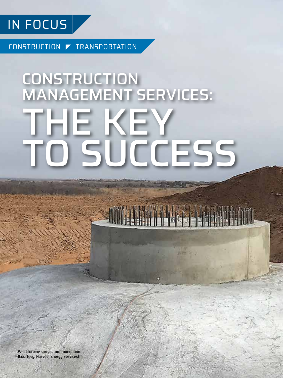

CONSTRUCTION TRANSPORTATION

# CONSTRUCTION MANAGEMENT SERVICES: THE KEY SUCCESS

Wind turbine spread foot foundation. (Courtesy: Harvest Energy Services)

**12** DECEMBER 2018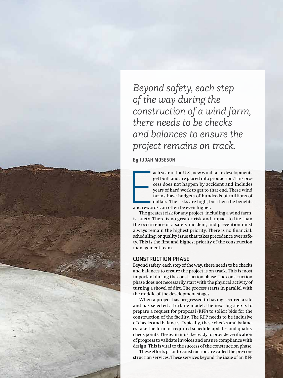*Beyond safety, each step of the way during the construction of a wind farm, there needs to be checks and balances to ensure the project remains on track.*

**By JUDAH MOSESON** 

and reward ach year in the U.S., new wind-farm developments get built and are placed into production. This process does not happen by accident and includes years of hard work to get to that end. These wind farms have budgets of hundreds of millions of dollars. The risks are high, but then the benefits and rewards can often be even higher.

The greatest risk for any project, including a wind farm, is safety. There is no greater risk and impact to life than the occurrence of a safety incident, and prevention must always remain the highest priority. There is no financial, scheduling, or quality issue that takes precedence over safety. This is the first and highest priority of the construction management team.

## CONSTRUCTION PHASE

Beyond safety, each step of the way, there needs to be checks and balances to ensure the project is on track. This is most important during the construction phase. The construction phase does not necessarily start with the physical activity of turning a shovel of dirt. The process starts in parallel with the middle of the development stages.

When a project has progressed to having secured a site and has selected a turbine model, the next big step is to prepare a request for proposal (RFP) to solicit bids for the construction of the facility. The RFP needs to be inclusive of checks and balances. Typically, these checks and balances take the form of required schedule updates and quality check points. The team must be ready to provide verification of progress to validate invoices and ensure compliance with design. This is vital to the success of the construction phase.

These efforts prior to construction are called the pre-construction services. These services beyond the issue of an RFP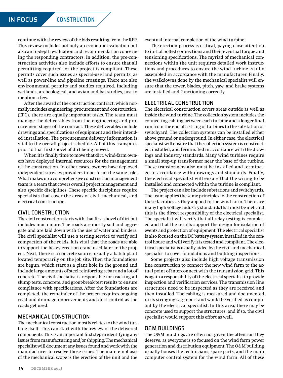continue with the review of the bids resulting from the RFP. This review includes not only an economic evaluation but also an in-depth evaluation and recommendation concerning the responding contractors. In addition, the pre-construction activities also include efforts to ensure that all permitting required for the project is compliant. These permits cover such issues as special-use land permits, as well as power-line and pipeline crossings. There are also environmental permits and studies required, including wetlands, archeological, and avian and bat studies, just to mention a few.

After the award of the construction contract, which normally includes engineering, procurement and construction, (EPC), there are equally important tasks. The team must manage the deliverables from the engineering and procurement stages of the contract. These deliverables include drawings and specifications of equipment and their intended installation. The procurement delivery information is vital to the overall project schedule. All of this transpires prior to that first shovel of dirt being moved.

When it is finally time to move that dirt, wind-farm owners have deployed internal resources for the management of the construction. In other cases, owners have deployed independent services providers to perform the same role. What makes up a comprehensive construction management team is a team that covers overall project management and also specific disciplines. These specific disciplines require specialists that cover the areas of civil, mechanical, and electrical construction.

### CIVIL CONSTRUCTION

The civil construction starts with that first shovel of dirt but includes much more. The roads are mostly soil and aggregate and are laid down with the use of water and binders. The civil specialist will use a testing service to verify soil compaction of the roads. It is vital that the roads are able to support the heavy erection crane used later in the project. Next, there is a concrete source, usually a batch plant located temporarily on the job site. Then the foundations are begun, which start as a giant hole in the ground and include large amounts of steel reinforcing rebar and a lot of concrete. The civil specialist is responsible for tracking all slump tests, concrete, and grout-break test results to ensure compliance with specifications. After the foundations are completed, the remainder of the project requires ongoing road and drainage improvements and dust control as the roads get used.

# MECHANICAL CONSTRUCTION

The mechanical construction mostly relates to the wind turbine itself. This can start with the review of the delivered components. This is an important first step in identifying any issues from manufacturing and/or shipping. The mechanical specialist will document any issues found and work with the manufacturer to resolve those issues. The main emphasis of the mechanical scope is the erection of the unit and the

eventual internal completion of the wind turbine.

The erection process is critical, paying close attention to initial bolted connections and their eventual torque and tensioning specifications. The myriad of mechanical connections within the unit requires detailed work instructions and procedures to ensure the wind turbine is fully assembled in accordance with the manufacturer. Finally, the walkdowns done by the mechanical specialist will ensure that the tower, blades, pitch, yaw, and brake systems are installed and functioning correctly.

## ELECTRICAL CONSTRUCTION

The electrical construction covers areas outside as well as inside the wind turbine. The collection system includes the connecting cabling between each turbine and a longer final run from the end of a string of turbines to the substation or switchyard. The collection systems can be installed either above ground or underground. In either case, the electrical specialist will ensure that the collection system is constructed, installed, and terminated in accordance with the drawings and industry standards. Many wind turbines require a small step-up transformer near the base of the turbine. These transformers also must be installed and terminated in accordance with drawings and standards. Finally, the electrical specialist will ensure that the wiring to be installed and connected within the turbine is compliant.

The project can also include substations and switchyards. The team applies the same principles to the construction of these facilities as they applied to the wind farm. There are many high voltage industry standards that must be met, and this is the direct responsibility of the electrical specialist. The specialist will verify that all relay testing is completed and that the results support the design for isolation of events and protection of equipment. The electrical specialist is also focused on the DC battery system installed in the control house and will verify it is tested and compliant. The electrical specialist is usually aided by the civil and mechanical specialist to cover foundations and building inspections.

Some projects also include high voltage transmission line construction to connect the new wind farm to the actual point of interconnect with the transmission grid. This is again a responsibility of the electrical specialist to provide inspection and verification services. The transmission line structures need to be inspected as they are received and then installed. The cabling is measured and documented in its stringing sag report and would be verified as compliant by the electrical specialist. In this area, there may be concrete used to support the structures, and if so, the civil specialist would support this effort as well.

### O&M BUILDINGS

The O&M buildings are often not given the attention they deserve, as everyone is so focused on the wind farm power generation and distribution equipment. The O&M building usually houses the technicians, spare parts, and the main computer control system for the wind farm. All of these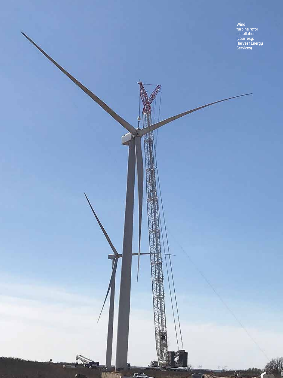Wind turbine rotor installation. (Courtesy: Harvest Energy Services)

winds winds you had a little state

 $\left\vert \mathbf{v}\right\vert$ 

龗

**TEXTER** 

蓝

 $\overline{C}$